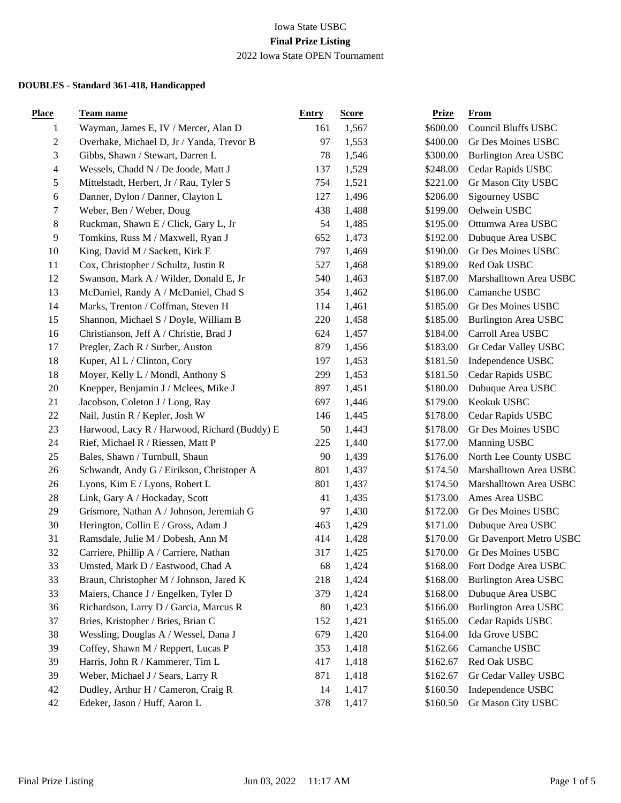| <b>Place</b>   | Team name                                    | <b>Entry</b> | <b>Score</b> | <b>Prize</b> | <b>From</b>                 |
|----------------|----------------------------------------------|--------------|--------------|--------------|-----------------------------|
| $\mathbf{1}$   | Wayman, James E, IV / Mercer, Alan D         | 161          | 1,567        | \$600.00     | Council Bluffs USBC         |
| $\overline{c}$ | Overhake, Michael D, Jr / Yanda, Trevor B    | 97           | 1,553        | \$400.00     | Gr Des Moines USBC          |
| 3              | Gibbs, Shawn / Stewart, Darren L             | 78           | 1,546        | \$300.00     | <b>Burlington Area USBC</b> |
| 4              | Wessels, Chadd N / De Joode, Matt J          | 137          | 1,529        | \$248.00     | Cedar Rapids USBC           |
| 5              | Mittelstadt, Herbert, Jr / Rau, Tyler S      | 754          | 1,521        | \$221.00     | Gr Mason City USBC          |
| 6              | Danner, Dylon / Danner, Clayton L            | 127          | 1,496        | \$206.00     | Sigourney USBC              |
| 7              | Weber, Ben / Weber, Doug                     | 438          | 1,488        | \$199.00     | Oelwein USBC                |
| $8\,$          | Ruckman, Shawn E / Click, Gary L, Jr         | 54           | 1,485        | \$195.00     | Ottumwa Area USBC           |
| 9              | Tomkins, Russ M / Maxwell, Ryan J            | 652          | 1,473        | \$192.00     | Dubuque Area USBC           |
| 10             | King, David M / Sackett, Kirk E              | 797          | 1,469        | \$190.00     | Gr Des Moines USBC          |
| 11             | Cox, Christopher / Schultz, Justin R         | 527          | 1,468        | \$189.00     | Red Oak USBC                |
| 12             | Swanson, Mark A / Wilder, Donald E, Jr       | 540          | 1,463        | \$187.00     | Marshalltown Area USBC      |
| 13             | McDaniel, Randy A / McDaniel, Chad S         | 354          | 1,462        | \$186.00     | Camanche USBC               |
| 14             | Marks, Trenton / Coffman, Steven H           | 114          | 1,461        | \$185.00     | Gr Des Moines USBC          |
| 15             | Shannon, Michael S / Doyle, William B        | 220          | 1,458        | \$185.00     | <b>Burlington Area USBC</b> |
| 16             | Christianson, Jeff A / Christie, Brad J      | 624          | 1,457        | \$184.00     | Carroll Area USBC           |
| 17             | Pregler, Zach R / Surber, Auston             | 879          | 1,456        | \$183.00     | Gr Cedar Valley USBC        |
| 18             | Kuper, Al L / Clinton, Cory                  | 197          | 1,453        | \$181.50     | Independence USBC           |
| 18             | Moyer, Kelly L / Mondl, Anthony S            | 299          | 1,453        | \$181.50     | Cedar Rapids USBC           |
| 20             | Knepper, Benjamin J / Mclees, Mike J         | 897          | 1,451        | \$180.00     | Dubuque Area USBC           |
| 21             | Jacobson, Coleton J / Long, Ray              | 697          | 1,446        | \$179.00     | Keokuk USBC                 |
| 22             | Nail, Justin R / Kepler, Josh W              | 146          | 1,445        | \$178.00     | Cedar Rapids USBC           |
| 23             | Harwood, Lacy R / Harwood, Richard (Buddy) E | 50           | 1,443        | \$178.00     | Gr Des Moines USBC          |
| 24             | Rief, Michael R / Riessen, Matt P            | 225          | 1,440        | \$177.00     | Manning USBC                |
| 25             | Bales, Shawn / Turnbull, Shaun               | 90           | 1,439        | \$176.00     | North Lee County USBC       |
| 26             | Schwandt, Andy G / Eirikson, Christoper A    | 801          | 1,437        | \$174.50     | Marshalltown Area USBC      |
| 26             | Lyons, Kim E / Lyons, Robert L               | 801          | 1,437        | \$174.50     | Marshalltown Area USBC      |
| 28             | Link, Gary A / Hockaday, Scott               | 41           | 1,435        | \$173.00     | Ames Area USBC              |
| 29             | Grismore, Nathan A / Johnson, Jeremiah G     | 97           | 1,430        | \$172.00     | Gr Des Moines USBC          |
| 30             | Herington, Collin E / Gross, Adam J          | 463          | 1,429        | \$171.00     | Dubuque Area USBC           |
| 31             | Ramsdale, Julie M / Dobesh, Ann M            | 414          | 1,428        | \$170.00     | Gr Davenport Metro USBC     |
| 32             | Carriere, Phillip A / Carriere, Nathan       | 317          | 1,425        | \$170.00     | Gr Des Moines USBC          |
| 33             | Umsted, Mark D / Eastwood, Chad A            | 68           | 1,424        | \$168.00     | Fort Dodge Area USBC        |
| 33             | Braun, Christopher M / Johnson, Jared K      | 218          | 1,424        | \$168.00     | <b>Burlington Area USBC</b> |
| 33             | Maiers, Chance J / Engelken, Tyler D         | 379          | 1,424        | \$168.00     | Dubuque Area USBC           |
| 36             | Richardson, Larry D / Garcia, Marcus R       | 80           | 1,423        | \$166.00     | Burlington Area USBC        |
| 37             | Bries, Kristopher / Bries, Brian C           | 152          | 1,421        | \$165.00     | Cedar Rapids USBC           |
| 38             | Wessling, Douglas A / Wessel, Dana J         | 679          | 1,420        | \$164.00     | Ida Grove USBC              |
| 39             | Coffey, Shawn M / Reppert, Lucas P           | 353          | 1,418        | \$162.66     | Camanche USBC               |
| 39             | Harris, John R / Kammerer, Tim L             | 417          | 1,418        | \$162.67     | Red Oak USBC                |
| 39             | Weber, Michael J / Sears, Larry R            | 871          | 1,418        | \$162.67     | Gr Cedar Valley USBC        |
| 42             | Dudley, Arthur H / Cameron, Craig R          | 14           | 1,417        | \$160.50     | Independence USBC           |
| 42             | Edeker, Jason / Huff, Aaron L                | 378          | 1,417        | \$160.50     | Gr Mason City USBC          |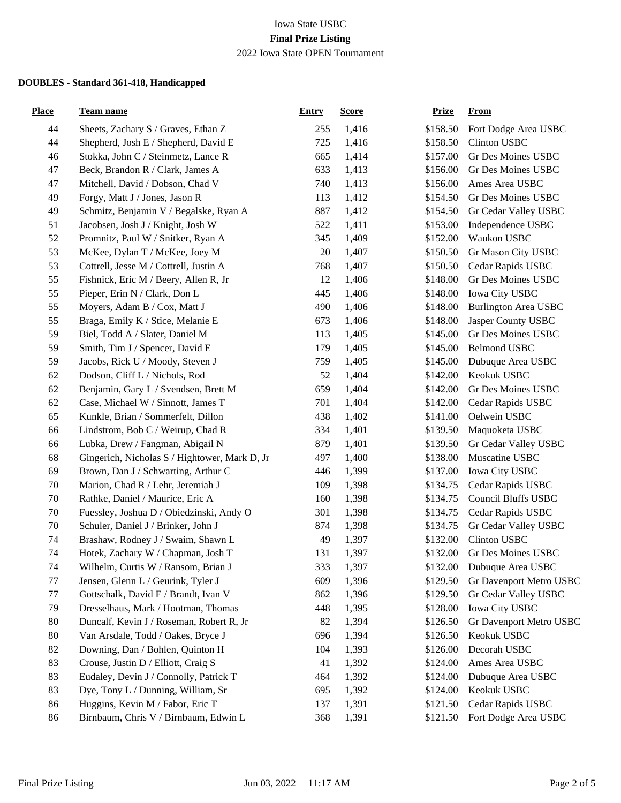| <b>Place</b> | <b>Team name</b>                              | <b>Entry</b> | <b>Score</b> | <b>Prize</b> | <b>From</b>                 |
|--------------|-----------------------------------------------|--------------|--------------|--------------|-----------------------------|
| 44           | Sheets, Zachary S / Graves, Ethan Z           | 255          | 1,416        | \$158.50     | Fort Dodge Area USBC        |
| 44           | Shepherd, Josh E / Shepherd, David E          | 725          | 1,416        | \$158.50     | <b>Clinton USBC</b>         |
| 46           | Stokka, John C / Steinmetz, Lance R           | 665          | 1,414        | \$157.00     | Gr Des Moines USBC          |
| 47           | Beck, Brandon R / Clark, James A              | 633          | 1,413        | \$156.00     | Gr Des Moines USBC          |
| 47           | Mitchell, David / Dobson, Chad V              | 740          | 1,413        | \$156.00     | Ames Area USBC              |
| 49           | Forgy, Matt J / Jones, Jason R                | 113          | 1,412        | \$154.50     | Gr Des Moines USBC          |
| 49           | Schmitz, Benjamin V / Begalske, Ryan A        | 887          | 1,412        | \$154.50     | Gr Cedar Valley USBC        |
| 51           | Jacobsen, Josh J / Knight, Josh W             | 522          | 1,411        | \$153.00     | Independence USBC           |
| 52           | Promnitz, Paul W / Snitker, Ryan A            | 345          | 1,409        | \$152.00     | Waukon USBC                 |
| 53           | McKee, Dylan T / McKee, Joey M                | 20           | 1,407        | \$150.50     | Gr Mason City USBC          |
| 53           | Cottrell, Jesse M / Cottrell, Justin A        | 768          | 1,407        | \$150.50     | Cedar Rapids USBC           |
| 55           | Fishnick, Eric M / Beery, Allen R, Jr         | 12           | 1,406        | \$148.00     | Gr Des Moines USBC          |
| 55           | Pieper, Erin N / Clark, Don L                 | 445          | 1,406        | \$148.00     | Iowa City USBC              |
| 55           | Moyers, Adam B / Cox, Matt J                  | 490          | 1,406        | \$148.00     | <b>Burlington Area USBC</b> |
| 55           | Braga, Emily K / Stice, Melanie E             | 673          | 1,406        | \$148.00     | Jasper County USBC          |
| 59           | Biel, Todd A / Slater, Daniel M               | 113          | 1,405        | \$145.00     | Gr Des Moines USBC          |
| 59           | Smith, Tim J / Spencer, David E               | 179          | 1,405        | \$145.00     | <b>Belmond USBC</b>         |
| 59           | Jacobs, Rick U / Moody, Steven J              | 759          | 1,405        | \$145.00     | Dubuque Area USBC           |
| 62           | Dodson, Cliff L / Nichols, Rod                | 52           | 1,404        | \$142.00     | Keokuk USBC                 |
| 62           | Benjamin, Gary L / Svendsen, Brett M          | 659          | 1,404        | \$142.00     | Gr Des Moines USBC          |
| 62           | Case, Michael W / Sinnott, James T            | 701          | 1,404        | \$142.00     | Cedar Rapids USBC           |
| 65           | Kunkle, Brian / Sommerfelt, Dillon            | 438          | 1,402        | \$141.00     | Oelwein USBC                |
| 66           | Lindstrom, Bob C / Weirup, Chad R             | 334          | 1,401        | \$139.50     | Maquoketa USBC              |
| 66           | Lubka, Drew / Fangman, Abigail N              | 879          | 1,401        | \$139.50     | Gr Cedar Valley USBC        |
| 68           | Gingerich, Nicholas S / Hightower, Mark D, Jr | 497          | 1,400        | \$138.00     | Muscatine USBC              |
| 69           | Brown, Dan J / Schwarting, Arthur C           | 446          | 1,399        | \$137.00     | Iowa City USBC              |
| 70           | Marion, Chad R / Lehr, Jeremiah J             | 109          | 1,398        | \$134.75     | Cedar Rapids USBC           |
| 70           | Rathke, Daniel / Maurice, Eric A              | 160          | 1,398        | \$134.75     | <b>Council Bluffs USBC</b>  |
| 70           | Fuessley, Joshua D / Obiedzinski, Andy O      | 301          | 1,398        | \$134.75     | Cedar Rapids USBC           |
| 70           | Schuler, Daniel J / Brinker, John J           | 874          | 1,398        | \$134.75     | Gr Cedar Valley USBC        |
| 74           | Brashaw, Rodney J / Swaim, Shawn L            | 49           | 1,397        | \$132.00     | Clinton USBC                |
| 74           | Hotek, Zachary W / Chapman, Josh T            | 131          | 1,397        | \$132.00     | Gr Des Moines USBC          |
| 74           | Wilhelm, Curtis W / Ransom, Brian J           | 333          | 1,397        | \$132.00     | Dubuque Area USBC           |
| 77           | Jensen, Glenn L / Geurink, Tyler J            | 609          | 1,396        | \$129.50     | Gr Davenport Metro USBC     |
| 77           | Gottschalk, David E / Brandt, Ivan V          | 862          | 1,396        | \$129.50     | Gr Cedar Valley USBC        |
| 79           | Dresselhaus, Mark / Hootman, Thomas           | 448          | 1,395        | \$128.00     | Iowa City USBC              |
| 80           | Duncalf, Kevin J / Roseman, Robert R, Jr      | 82           | 1,394        | \$126.50     | Gr Davenport Metro USBC     |
| 80           | Van Arsdale, Todd / Oakes, Bryce J            | 696          | 1,394        | \$126.50     | Keokuk USBC                 |
| 82           | Downing, Dan / Bohlen, Quinton H              | 104          | 1,393        | \$126.00     | Decorah USBC                |
| 83           | Crouse, Justin D / Elliott, Craig S           | 41           | 1,392        | \$124.00     | Ames Area USBC              |
| 83           | Eudaley, Devin J / Connolly, Patrick T        | 464          | 1,392        | \$124.00     | Dubuque Area USBC           |
| 83           | Dye, Tony L / Dunning, William, Sr            | 695          | 1,392        | \$124.00     | Keokuk USBC                 |
| 86           | Huggins, Kevin M / Fabor, Eric T              | 137          | 1,391        | \$121.50     | Cedar Rapids USBC           |
| 86           | Birnbaum, Chris V / Birnbaum, Edwin L         | 368          | 1,391        | \$121.50     | Fort Dodge Area USBC        |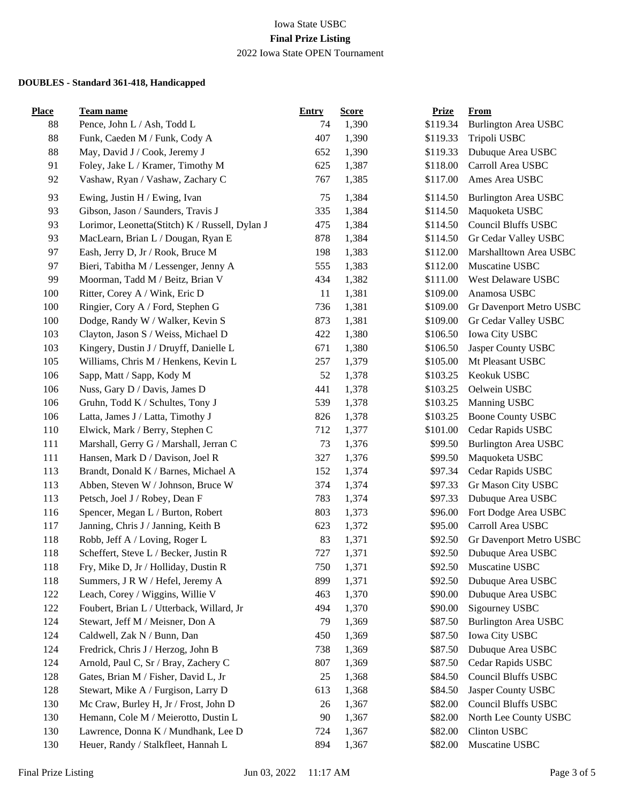| <b>Place</b> | <b>Team name</b>                               | <b>Entry</b> | <b>Score</b> | <b>Prize</b> | From                        |
|--------------|------------------------------------------------|--------------|--------------|--------------|-----------------------------|
| 88           | Pence, John L / Ash, Todd L                    | 74           | 1,390        | \$119.34     | <b>Burlington Area USBC</b> |
| 88           | Funk, Caeden M / Funk, Cody A                  | 407          | 1,390        | \$119.33     | Tripoli USBC                |
| 88           | May, David J / Cook, Jeremy J                  | 652          | 1,390        | \$119.33     | Dubuque Area USBC           |
| 91           | Foley, Jake L / Kramer, Timothy M              | 625          | 1,387        | \$118.00     | Carroll Area USBC           |
| 92           | Vashaw, Ryan / Vashaw, Zachary C               | 767          | 1,385        | \$117.00     | Ames Area USBC              |
| 93           | Ewing, Justin H / Ewing, Ivan                  | 75           | 1,384        | \$114.50     | <b>Burlington Area USBC</b> |
| 93           | Gibson, Jason / Saunders, Travis J             | 335          | 1,384        | \$114.50     | Maquoketa USBC              |
| 93           | Lorimor, Leonetta(Stitch) K / Russell, Dylan J | 475          | 1,384        | \$114.50     | <b>Council Bluffs USBC</b>  |
| 93           | MacLearn, Brian L / Dougan, Ryan E             | 878          | 1,384        | \$114.50     | Gr Cedar Valley USBC        |
| 97           | Eash, Jerry D, Jr / Rook, Bruce M              | 198          | 1,383        | \$112.00     | Marshalltown Area USBC      |
| 97           | Bieri, Tabitha M / Lessenger, Jenny A          | 555          | 1,383        | \$112.00     | Muscatine USBC              |
| 99           | Moorman, Tadd M / Beitz, Brian V               | 434          | 1,382        | \$111.00     | West Delaware USBC          |
| 100          | Ritter, Corey A / Wink, Eric D                 | 11           | 1,381        | \$109.00     | Anamosa USBC                |
| 100          | Ringier, Cory A / Ford, Stephen G              | 736          | 1,381        | \$109.00     | Gr Davenport Metro USBC     |
| 100          | Dodge, Randy W / Walker, Kevin S               | 873          | 1,381        | \$109.00     | Gr Cedar Valley USBC        |
| 103          | Clayton, Jason S / Weiss, Michael D            | 422          | 1,380        | \$106.50     | Iowa City USBC              |
| 103          | Kingery, Dustin J / Druyff, Danielle L         | 671          | 1,380        | \$106.50     | Jasper County USBC          |
| 105          | Williams, Chris M / Henkens, Kevin L           | 257          | 1,379        | \$105.00     | Mt Pleasant USBC            |
| 106          | Sapp, Matt / Sapp, Kody M                      | 52           | 1,378        | \$103.25     | Keokuk USBC                 |
| 106          | Nuss, Gary D / Davis, James D                  | 441          | 1,378        | \$103.25     | Oelwein USBC                |
| 106          | Gruhn, Todd K / Schultes, Tony J               | 539          | 1,378        | \$103.25     | Manning USBC                |
| 106          | Latta, James J / Latta, Timothy J              | 826          | 1,378        | \$103.25     | <b>Boone County USBC</b>    |
| 110          | Elwick, Mark / Berry, Stephen C                | 712          | 1,377        | \$101.00     | Cedar Rapids USBC           |
| 111          | Marshall, Gerry G / Marshall, Jerran C         | 73           | 1,376        | \$99.50      | <b>Burlington Area USBC</b> |
| 111          | Hansen, Mark D / Davison, Joel R               | 327          | 1,376        | \$99.50      | Maquoketa USBC              |
| 113          | Brandt, Donald K / Barnes, Michael A           | 152          | 1,374        | \$97.34      | Cedar Rapids USBC           |
| 113          | Abben, Steven W / Johnson, Bruce W             | 374          | 1,374        | \$97.33      | Gr Mason City USBC          |
| 113          | Petsch, Joel J / Robey, Dean F                 | 783          | 1,374        | \$97.33      | Dubuque Area USBC           |
| 116          | Spencer, Megan L / Burton, Robert              | 803          | 1,373        | \$96.00      | Fort Dodge Area USBC        |
| 117          | Janning, Chris J / Janning, Keith B            | 623          | 1,372        | \$95.00      | Carroll Area USBC           |
| 118          | Robb, Jeff A / Loving, Roger L                 | 83           | 1,371        | \$92.50      | Gr Davenport Metro USBC     |
| 118          | Scheffert, Steve L / Becker, Justin R          | 727          | 1,371        | \$92.50      | Dubuque Area USBC           |
| 118          | Fry, Mike D, Jr / Holliday, Dustin R           | 750          | 1,371        | \$92.50      | Muscatine USBC              |
| 118          | Summers, J R W / Hefel, Jeremy A               | 899          | 1,371        | \$92.50      | Dubuque Area USBC           |
| 122          | Leach, Corey / Wiggins, Willie V               | 463          | 1,370        | \$90.00      | Dubuque Area USBC           |
| 122          | Foubert, Brian L / Utterback, Willard, Jr      | 494          | 1,370        | \$90.00      | Sigourney USBC              |
| 124          | Stewart, Jeff M / Meisner, Don A               | 79           | 1,369        | \$87.50      | <b>Burlington Area USBC</b> |
| 124          | Caldwell, Zak N / Bunn, Dan                    | 450          | 1,369        | \$87.50      | Iowa City USBC              |
| 124          | Fredrick, Chris J / Herzog, John B             | 738          | 1,369        | \$87.50      | Dubuque Area USBC           |
| 124          | Arnold, Paul C, Sr / Bray, Zachery C           | 807          | 1,369        | \$87.50      | Cedar Rapids USBC           |
| 128          | Gates, Brian M / Fisher, David L, Jr           | 25           | 1,368        | \$84.50      | Council Bluffs USBC         |
| 128          | Stewart, Mike A / Furgison, Larry D            | 613          | 1,368        | \$84.50      | Jasper County USBC          |
| 130          | Mc Craw, Burley H, Jr / Frost, John D          | 26           | 1,367        | \$82.00      | Council Bluffs USBC         |
| 130          | Hemann, Cole M / Meierotto, Dustin L           | 90           | 1,367        | \$82.00      | North Lee County USBC       |
| 130          | Lawrence, Donna K / Mundhank, Lee D            | 724          | 1,367        | \$82.00      | Clinton USBC                |
| 130          | Heuer, Randy / Stalkfleet, Hannah L            | 894          | 1,367        | \$82.00      | Muscatine USBC              |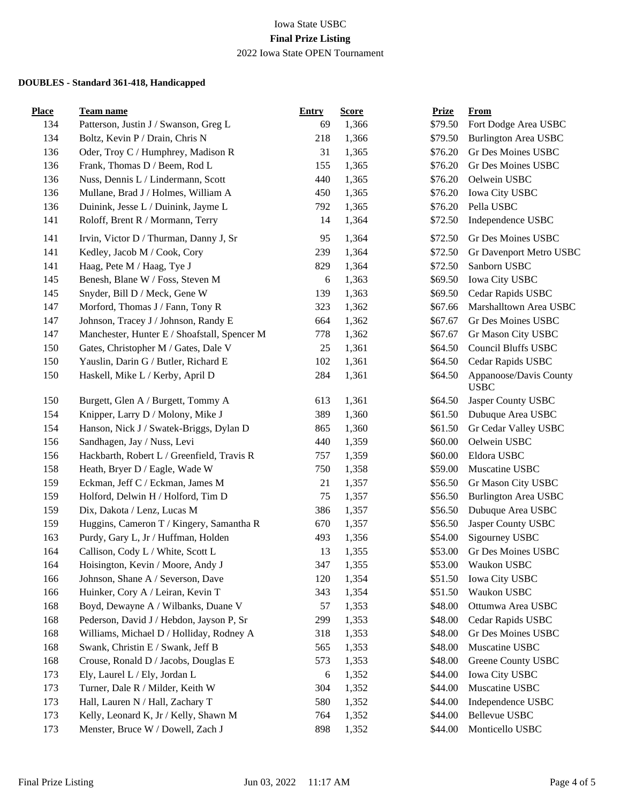| <b>Place</b> | <b>Team name</b>                             | <b>Entry</b> | <b>Score</b> | <b>Prize</b> | <b>From</b>                           |
|--------------|----------------------------------------------|--------------|--------------|--------------|---------------------------------------|
| 134          | Patterson, Justin J / Swanson, Greg L        | 69           | 1,366        | \$79.50      | Fort Dodge Area USBC                  |
| 134          | Boltz, Kevin P / Drain, Chris N              | 218          | 1,366        | \$79.50      | <b>Burlington Area USBC</b>           |
| 136          | Oder, Troy C / Humphrey, Madison R           | 31           | 1,365        | \$76.20      | Gr Des Moines USBC                    |
| 136          | Frank, Thomas D / Beem, Rod L                | 155          | 1,365        | \$76.20      | Gr Des Moines USBC                    |
| 136          | Nuss, Dennis L / Lindermann, Scott           | 440          | 1,365        | \$76.20      | Oelwein USBC                          |
| 136          | Mullane, Brad J / Holmes, William A          | 450          | 1,365        | \$76.20      | Iowa City USBC                        |
| 136          | Duinink, Jesse L / Duinink, Jayme L          | 792          | 1,365        | \$76.20      | Pella USBC                            |
| 141          | Roloff, Brent R / Mormann, Terry             | 14           | 1,364        | \$72.50      | Independence USBC                     |
| 141          | Irvin, Victor D / Thurman, Danny J, Sr       | 95           | 1,364        | \$72.50      | Gr Des Moines USBC                    |
| 141          | Kedley, Jacob M / Cook, Cory                 | 239          | 1,364        | \$72.50      | Gr Davenport Metro USBC               |
| 141          | Haag, Pete M / Haag, Tye J                   | 829          | 1,364        | \$72.50      | Sanborn USBC                          |
| 145          | Benesh, Blane W / Foss, Steven M             | 6            | 1,363        | \$69.50      | Iowa City USBC                        |
| 145          | Snyder, Bill D / Meck, Gene W                | 139          | 1,363        | \$69.50      | Cedar Rapids USBC                     |
| 147          | Morford, Thomas J / Fann, Tony R             | 323          | 1,362        | \$67.66      | Marshalltown Area USBC                |
| 147          | Johnson, Tracey J / Johnson, Randy E         | 664          | 1,362        | \$67.67      | Gr Des Moines USBC                    |
| 147          | Manchester, Hunter E / Shoafstall, Spencer M | 778          | 1,362        | \$67.67      | Gr Mason City USBC                    |
| 150          | Gates, Christopher M / Gates, Dale V         | 25           | 1,361        | \$64.50      | <b>Council Bluffs USBC</b>            |
| 150          | Yauslin, Darin G / Butler, Richard E         | 102          | 1,361        | \$64.50      | Cedar Rapids USBC                     |
| 150          | Haskell, Mike L / Kerby, April D             | 284          | 1,361        | \$64.50      | Appanoose/Davis County<br><b>USBC</b> |
| 150          | Burgett, Glen A / Burgett, Tommy A           | 613          | 1,361        | \$64.50      | Jasper County USBC                    |
| 154          | Knipper, Larry D / Molony, Mike J            | 389          | 1,360        | \$61.50      | Dubuque Area USBC                     |
| 154          | Hanson, Nick J / Swatek-Briggs, Dylan D      | 865          | 1,360        | \$61.50      | Gr Cedar Valley USBC                  |
| 156          | Sandhagen, Jay / Nuss, Levi                  | 440          | 1,359        | \$60.00      | Oelwein USBC                          |
| 156          | Hackbarth, Robert L / Greenfield, Travis R   | 757          | 1,359        | \$60.00      | Eldora USBC                           |
| 158          | Heath, Bryer D / Eagle, Wade W               | 750          | 1,358        | \$59.00      | Muscatine USBC                        |
| 159          | Eckman, Jeff C / Eckman, James M             | 21           | 1,357        | \$56.50      | Gr Mason City USBC                    |
| 159          | Holford, Delwin H / Holford, Tim D           | 75           | 1,357        | \$56.50      | <b>Burlington Area USBC</b>           |
| 159          | Dix, Dakota / Lenz, Lucas M                  | 386          | 1,357        | \$56.50      | Dubuque Area USBC                     |
| 159          | Huggins, Cameron T / Kingery, Samantha R     | 670          | 1,357        | \$56.50      | Jasper County USBC                    |
| 163          | Purdy, Gary L, Jr / Huffman, Holden          | 493          | 1,356        | \$54.00      | Sigourney USBC                        |
| 164          | Callison, Cody L / White, Scott L            | 13           | 1,355        | \$53.00      | Gr Des Moines USBC                    |
| 164          | Hoisington, Kevin / Moore, Andy J            | 347          | 1,355        | \$53.00      | Waukon USBC                           |
| 166          | Johnson, Shane A / Severson, Dave            | 120          | 1,354        | \$51.50      | Iowa City USBC                        |
| 166          | Huinker, Cory A / Leiran, Kevin T            | 343          | 1,354        | \$51.50      | Waukon USBC                           |
| 168          | Boyd, Dewayne A / Wilbanks, Duane V          | 57           | 1,353        | \$48.00      | Ottumwa Area USBC                     |
| 168          | Pederson, David J / Hebdon, Jayson P, Sr     | 299          | 1,353        | \$48.00      | Cedar Rapids USBC                     |
| 168          | Williams, Michael D / Holliday, Rodney A     | 318          | 1,353        | \$48.00      | Gr Des Moines USBC                    |
| 168          | Swank, Christin E / Swank, Jeff B            | 565          | 1,353        | \$48.00      | Muscatine USBC                        |
| 168          | Crouse, Ronald D / Jacobs, Douglas E         | 573          | 1,353        | \$48.00      | Greene County USBC                    |
| 173          | Ely, Laurel L / Ely, Jordan L                | 6            | 1,352        | \$44.00      | Iowa City USBC                        |
| 173          | Turner, Dale R / Milder, Keith W             | 304          | 1,352        | \$44.00      | Muscatine USBC                        |
| 173          | Hall, Lauren N / Hall, Zachary T             | 580          | 1,352        | \$44.00      | Independence USBC                     |
| 173          | Kelly, Leonard K, Jr / Kelly, Shawn M        | 764          | 1,352        | \$44.00      | <b>Bellevue USBC</b>                  |
| 173          | Menster, Bruce W / Dowell, Zach J            | 898          | 1,352        | \$44.00      | Monticello USBC                       |